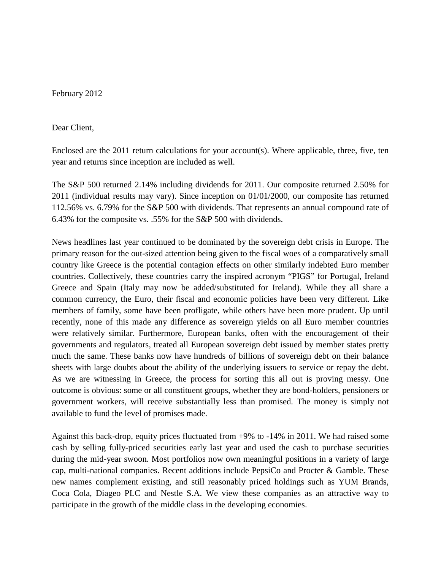February 2012

Dear Client,

Enclosed are the 2011 return calculations for your account(s). Where applicable, three, five, ten year and returns since inception are included as well.

The S&P 500 returned 2.14% including dividends for 2011. Our composite returned 2.50% for 2011 (individual results may vary). Since inception on 01/01/2000, our composite has returned 112.56% vs. 6.79% for the S&P 500 with dividends. That represents an annual compound rate of 6.43% for the composite vs. .55% for the S&P 500 with dividends.

News headlines last year continued to be dominated by the sovereign debt crisis in Europe. The primary reason for the out-sized attention being given to the fiscal woes of a comparatively small country like Greece is the potential contagion effects on other similarly indebted Euro member countries. Collectively, these countries carry the inspired acronym "PIGS" for Portugal, Ireland Greece and Spain (Italy may now be added/substituted for Ireland). While they all share a common currency, the Euro, their fiscal and economic policies have been very different. Like members of family, some have been profligate, while others have been more prudent. Up until recently, none of this made any difference as sovereign yields on all Euro member countries were relatively similar. Furthermore, European banks, often with the encouragement of their governments and regulators, treated all European sovereign debt issued by member states pretty much the same. These banks now have hundreds of billions of sovereign debt on their balance sheets with large doubts about the ability of the underlying issuers to service or repay the debt. As we are witnessing in Greece, the process for sorting this all out is proving messy. One outcome is obvious: some or all constituent groups, whether they are bond-holders, pensioners or government workers, will receive substantially less than promised. The money is simply not available to fund the level of promises made.

Against this back-drop, equity prices fluctuated from +9% to -14% in 2011. We had raised some cash by selling fully-priced securities early last year and used the cash to purchase securities during the mid-year swoon. Most portfolios now own meaningful positions in a variety of large cap, multi-national companies. Recent additions include PepsiCo and Procter & Gamble. These new names complement existing, and still reasonably priced holdings such as YUM Brands, Coca Cola, Diageo PLC and Nestle S.A. We view these companies as an attractive way to participate in the growth of the middle class in the developing economies.